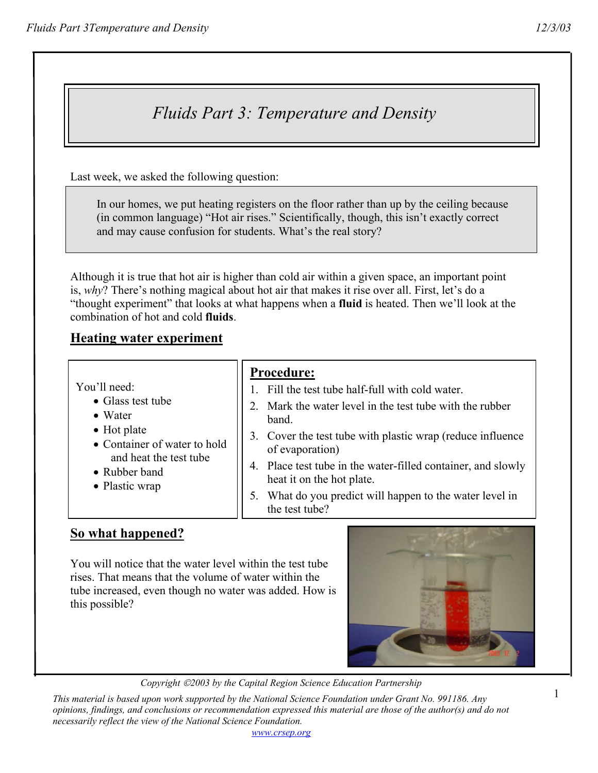# *Fluids Part 3: Temperature and Density*

Last week, we asked the following question:

 In our homes, we put heating registers on the floor rather than up by the ceiling because (in common language) "Hot air rises." Scientifically, though, this isn't exactly correct and may cause confusion for students. What's the real story?

Although it is true that hot air is higher than cold air within a given space, an important point is, *why*? There's nothing magical about hot air that makes it rise over all. First, let's do a "thought experiment" that looks at what happens when a **fluid** is heated. Then we'll look at the combination of hot and cold **fluids**.

#### **Heating water experiment**

|                                                                                                                                                                  | <b>Procedure:</b>                                                                         |
|------------------------------------------------------------------------------------------------------------------------------------------------------------------|-------------------------------------------------------------------------------------------|
| You'll need:<br>• Glass test tube<br>• Water<br>$\bullet$ Hot plate<br>• Container of water to hold<br>and heat the test tube<br>• Rubber band<br>• Plastic wrap | Fill the test tube half-full with cold water.                                             |
|                                                                                                                                                                  | Mark the water level in the test tube with the rubber<br>band.                            |
|                                                                                                                                                                  | 3. Cover the test tube with plastic wrap (reduce influence)<br>of evaporation)            |
|                                                                                                                                                                  | 4. Place test tube in the water-filled container, and slowly<br>heat it on the hot plate. |
|                                                                                                                                                                  | What do you predict will happen to the water level in<br>the test tube?                   |

## **So what happened?**

You will notice that the water level within the test tube rises. That means that the volume of water within the tube increased, even though no water was added. How is this possible?



*Copyright 2003 by the Capital Region Science Education Partnership* 

*This material is based upon work supported by the National Science Foundation under Grant No. 991186. Any opinions, findings, and conclusions or recommendation expressed this material are those of the author(s) and do not necessarily reflect the view of the National Science Foundation.*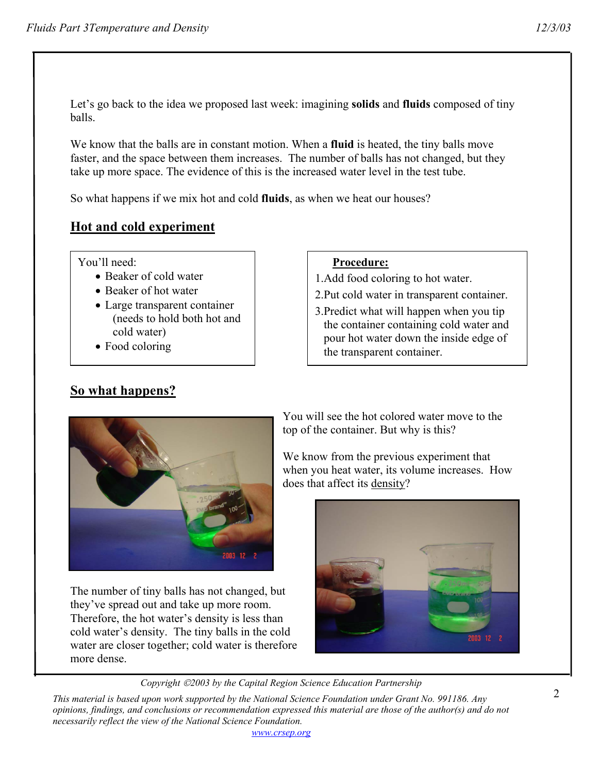Let's go back to the idea we proposed last week: imagining **solids** and **fluids** composed of tiny balls.

We know that the balls are in constant motion. When a **fluid** is heated, the tiny balls move faster, and the space between them increases. The number of balls has not changed, but they take up more space. The evidence of this is the increased water level in the test tube.

So what happens if we mix hot and cold **fluids**, as when we heat our houses?

# **Hot and cold experiment**

You'll need:

- Beaker of cold water
- Beaker of hot water
- Large transparent container (needs to hold both hot and cold water)
- Food coloring

**So what happens?**

#### **Procedure:**

1.Add food coloring to hot water.

- 2.Put cold water in transparent container.
- 3.Predict what will happen when you tip the container containing cold water and pour hot water down the inside edge of the transparent container.



The number of tiny balls has not changed, but they've spread out and take up more room. Therefore, the hot water's density is less than cold water's density. The tiny balls in the cold water are closer together; cold water is therefore more dense.

You will see the hot colored water move to the top of the container. But why is this?

We know from the previous experiment that when you heat water, its volume increases. How does that affect its density?



*Copyright 2003 by the Capital Region Science Education Partnership* 

*This material is based upon work supported by the National Science Foundation under Grant No. 991186. Any opinions, findings, and conclusions or recommendation expressed this material are those of the author(s) and do not necessarily reflect the view of the National Science Foundation.*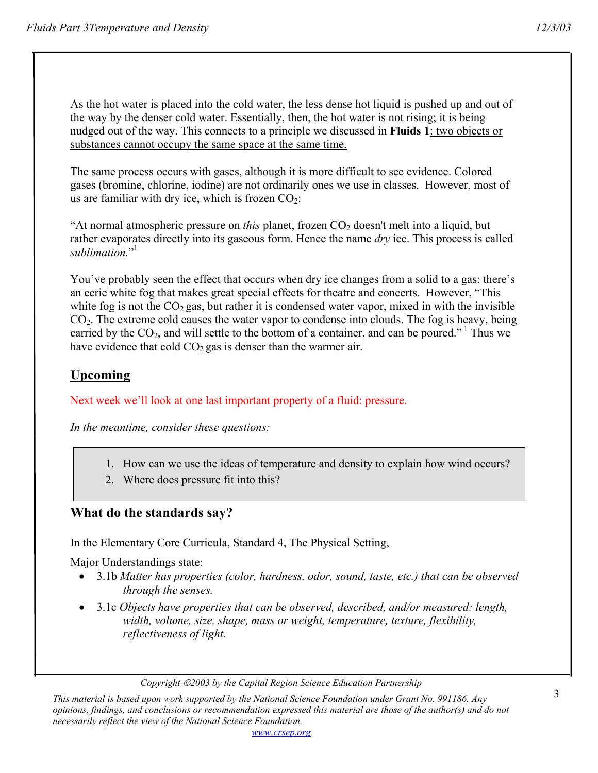As the hot water is placed into the cold water, the less dense hot liquid is pushed up and out of the way by the denser cold water. Essentially, then, the hot water is not rising; it is being nudged out of the way. This connects to a principle we discussed in **Fluids 1**: two objects or substances cannot occupy the same space at the same time.

The same process occurs with gases, although it is more difficult to see evidence. Colored gases (bromine, chlorine, iodine) are not ordinarily ones we use in classes. However, most of us are familiar with dry ice, which is frozen  $CO<sub>2</sub>$ :

"At normal atmospheric pressure on *this* planet, frozen CO<sub>2</sub> doesn't melt into a liquid, but rather evaporates directly into its gaseous form. Hence the name *dry* ice. This process is called sublimation."<sup>1</sup>

You've probably seen the effect that occurs when dry ice changes from a solid to a gas: there's an eerie white fog that makes great special effects for theatre and concerts. However, "This white fog is not the  $CO<sub>2</sub>$  gas, but rather it is condensed water vapor, mixed in with the invisible  $CO<sub>2</sub>$ . The extreme cold causes the water vapor to condense into clouds. The fog is heavy, being carried by the  $CO_2$ , and will settle to the bottom of a container, and can be poured."<sup>1</sup> Thus we have evidence that cold  $CO<sub>2</sub>$  gas is denser than the warmer air.

# **Upcoming**

Next week we'll look at one last important property of a fluid: pressure.

*In the meantime, consider these questions:* 

- 1. How can we use the ideas of temperature and density to explain how wind occurs?
- 2. Where does pressure fit into this?

## **What do the standards say?**

# In the Elementary Core Curricula, Standard 4, The Physical Setting,

Major Understandings state:

- 3.1b *Matter has properties (color, hardness, odor, sound, taste, etc.) that can be observed through the senses.*
- 3.1c *Objects have properties that can be observed, described, and/or measured: length, width, volume, size, shape, mass or weight, temperature, texture, flexibility, reflectiveness of light.*

*Copyright 2003 by the Capital Region Science Education Partnership* 

*This material is based upon work supported by the National Science Foundation under Grant No. 991186. Any opinions, findings, and conclusions or recommendation expressed this material are those of the author(s) and do not necessarily reflect the view of the National Science Foundation.*